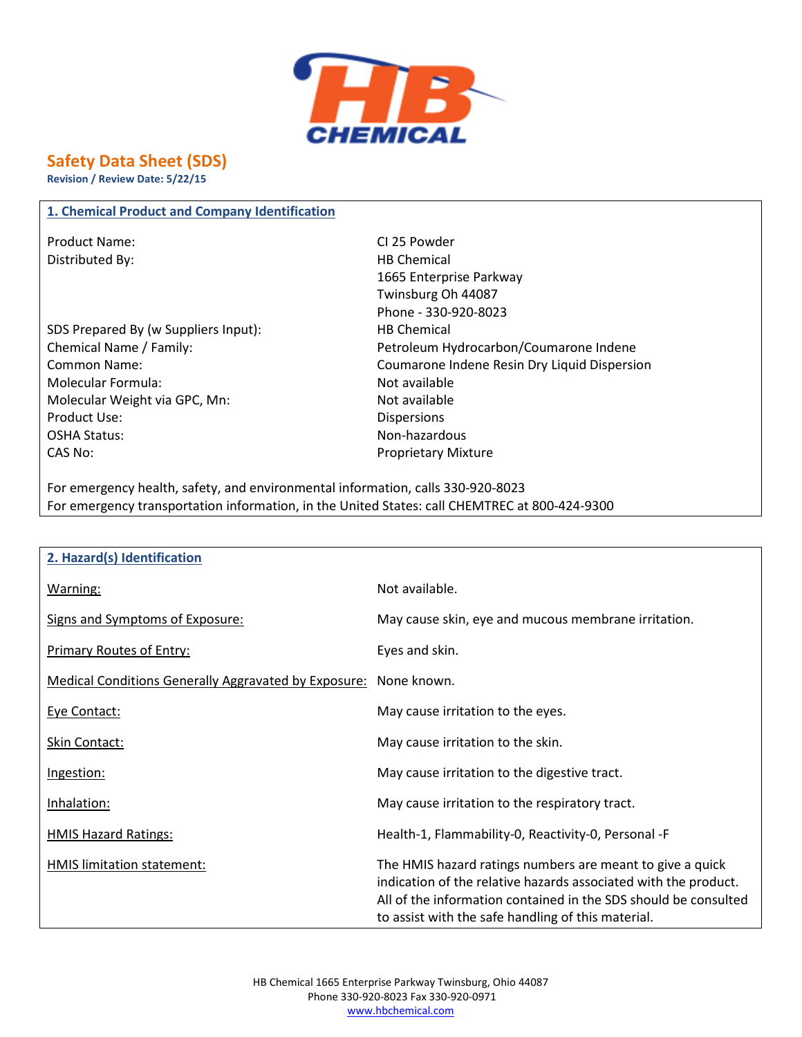

# **Safety Data Sheet (SDS)**

**Revision / Review Date: 5/22/15**

#### **1. Chemical Product and Company Identification**

Product Name: CI 25 Powder Distributed By: Notice and Separate Separate Separate Separate Separate Separate Separate Separate Separate Separate Separate Separate Separate Separate Separate Separate Separate Separate Separate Separate Separate Separa

- SDS Prepared By (w Suppliers Input): HB Chemical Molecular Formula: Not available Molecular Weight via GPC, Mn: Not available Product Use: Notice and Security 2012 19:00 Dispersions OSHA Status: Non-hazardous CAS No: Proprietary Mixture
- 1665 Enterprise Parkway Twinsburg Oh 44087 Phone - 330-920-8023 Chemical Name / Family: Petroleum Hydrocarbon/Coumarone Indene Common Name: Coumarone Indene Resin Dry Liquid Dispersion

For emergency health, safety, and environmental information, calls 330-920-8023 For emergency transportation information, in the United States: call CHEMTREC at 800-424-9300

| 2. Hazard(s) Identification                                 |                                                                                                                                                                                                                                                       |
|-------------------------------------------------------------|-------------------------------------------------------------------------------------------------------------------------------------------------------------------------------------------------------------------------------------------------------|
| Warning:                                                    | Not available.                                                                                                                                                                                                                                        |
| Signs and Symptoms of Exposure:                             | May cause skin, eye and mucous membrane irritation.                                                                                                                                                                                                   |
| Primary Routes of Entry:                                    | Eyes and skin.                                                                                                                                                                                                                                        |
| <b>Medical Conditions Generally Aggravated by Exposure:</b> | None known.                                                                                                                                                                                                                                           |
| Eye Contact:                                                | May cause irritation to the eyes.                                                                                                                                                                                                                     |
| Skin Contact:                                               | May cause irritation to the skin.                                                                                                                                                                                                                     |
| Ingestion:                                                  | May cause irritation to the digestive tract.                                                                                                                                                                                                          |
| Inhalation:                                                 | May cause irritation to the respiratory tract.                                                                                                                                                                                                        |
| <b>HMIS Hazard Ratings:</b>                                 | Health-1, Flammability-0, Reactivity-0, Personal -F                                                                                                                                                                                                   |
| HMIS limitation statement:                                  | The HMIS hazard ratings numbers are meant to give a quick<br>indication of the relative hazards associated with the product.<br>All of the information contained in the SDS should be consulted<br>to assist with the safe handling of this material. |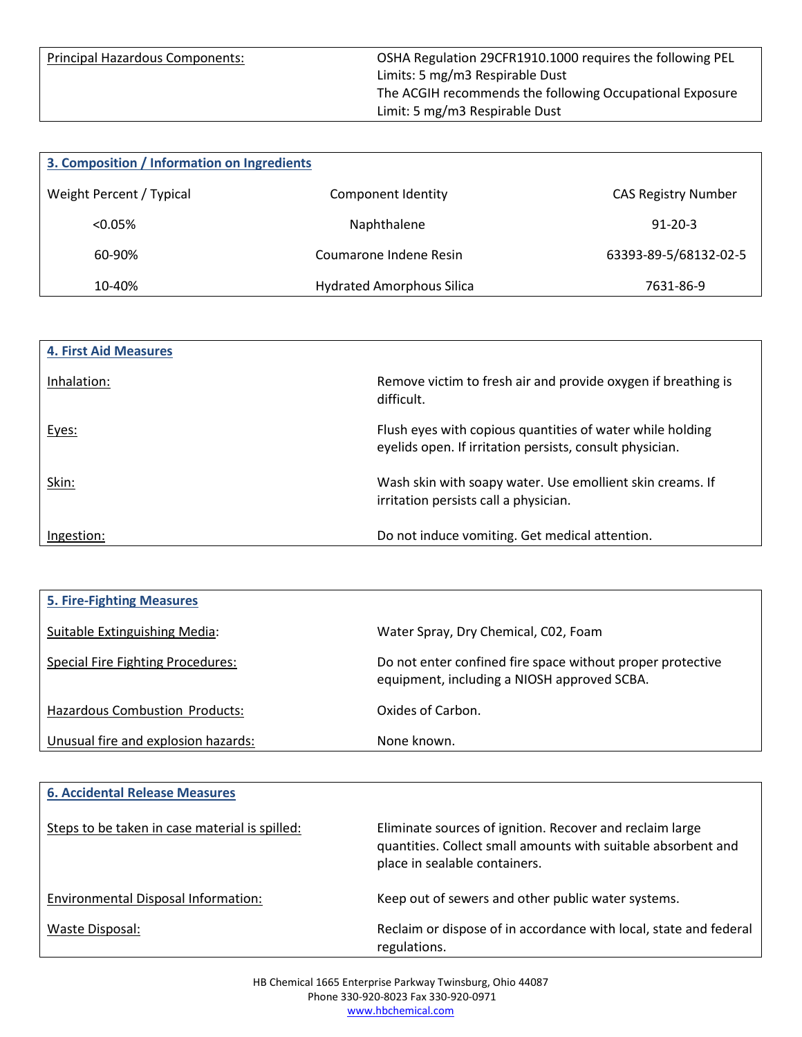Principal Hazardous Components: OSHA Regulation 29CFR1910.1000 requires the following PEL Limits: 5 mg/m3 Respirable Dust The ACGIH recommends the following Occupational Exposure Limit: 5 mg/m3 Respirable Dust

| 3. Composition / Information on Ingredients |                                  |                            |
|---------------------------------------------|----------------------------------|----------------------------|
| Weight Percent / Typical                    | Component Identity               | <b>CAS Registry Number</b> |
| $< 0.05\%$                                  | Naphthalene                      | $91 - 20 - 3$              |
| 60-90%                                      | Coumarone Indene Resin           | 63393-89-5/68132-02-5      |
| 10-40%                                      | <b>Hydrated Amorphous Silica</b> | 7631-86-9                  |

| <b>4. First Aid Measures</b> |                                                                                                                       |
|------------------------------|-----------------------------------------------------------------------------------------------------------------------|
| Inhalation:                  | Remove victim to fresh air and provide oxygen if breathing is<br>difficult.                                           |
| Eyes:                        | Flush eyes with copious quantities of water while holding<br>eyelids open. If irritation persists, consult physician. |
| Skin:                        | Wash skin with soapy water. Use emollient skin creams. If<br>irritation persists call a physician.                    |
| Ingestion:                   | Do not induce vomiting. Get medical attention.                                                                        |

| <b>5. Fire-Fighting Measures</b>         |                                                                                                           |
|------------------------------------------|-----------------------------------------------------------------------------------------------------------|
| Suitable Extinguishing Media:            | Water Spray, Dry Chemical, C02, Foam                                                                      |
| <b>Special Fire Fighting Procedures:</b> | Do not enter confined fire space without proper protective<br>equipment, including a NIOSH approved SCBA. |
| Hazardous Combustion Products:           | Oxides of Carbon.                                                                                         |
| Unusual fire and explosion hazards:      | None known.                                                                                               |

| <b>6. Accidental Release Measures</b>          |                                                                                                                                                            |
|------------------------------------------------|------------------------------------------------------------------------------------------------------------------------------------------------------------|
| Steps to be taken in case material is spilled: | Eliminate sources of ignition. Recover and reclaim large<br>quantities. Collect small amounts with suitable absorbent and<br>place in sealable containers. |
| Environmental Disposal Information:            | Keep out of sewers and other public water systems.                                                                                                         |
| Waste Disposal:                                | Reclaim or dispose of in accordance with local, state and federal<br>regulations.                                                                          |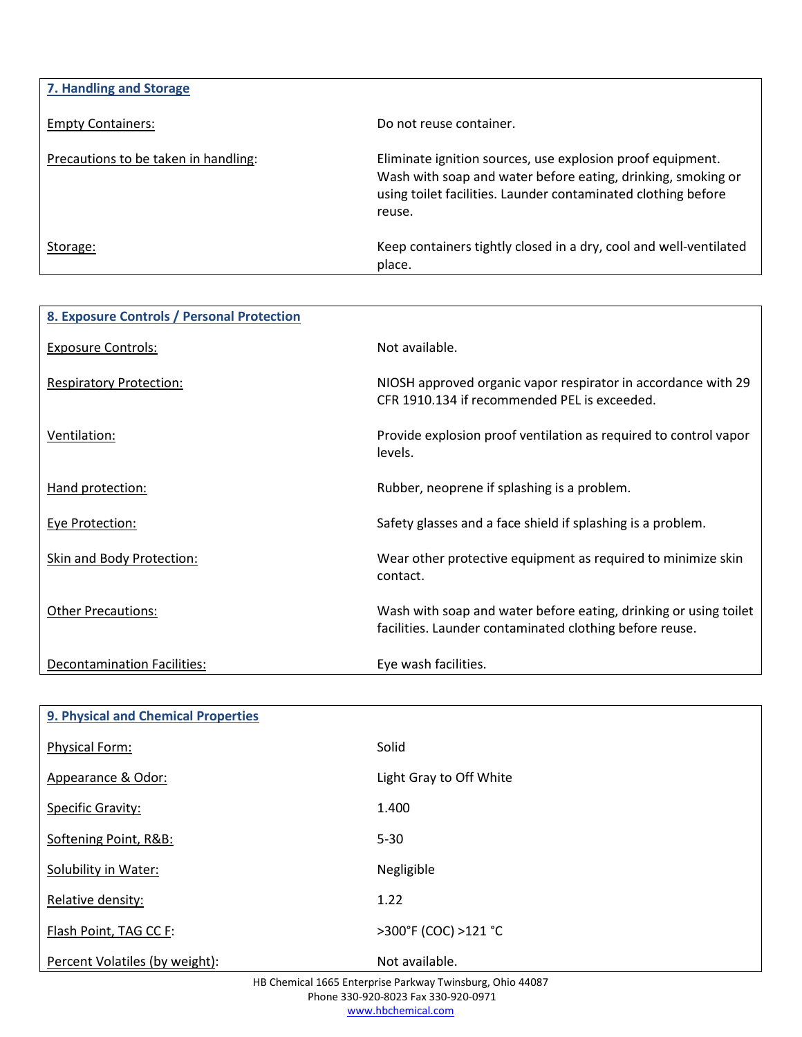| 7. Handling and Storage              |                                                                                                                                                                                                       |
|--------------------------------------|-------------------------------------------------------------------------------------------------------------------------------------------------------------------------------------------------------|
| <b>Empty Containers:</b>             | Do not reuse container.                                                                                                                                                                               |
| Precautions to be taken in handling: | Eliminate ignition sources, use explosion proof equipment.<br>Wash with soap and water before eating, drinking, smoking or<br>using toilet facilities. Launder contaminated clothing before<br>reuse. |
| Storage:                             | Keep containers tightly closed in a dry, cool and well-ventilated<br>place.                                                                                                                           |

| 8. Exposure Controls / Personal Protection |                                                                                                                             |
|--------------------------------------------|-----------------------------------------------------------------------------------------------------------------------------|
| <b>Exposure Controls:</b>                  | Not available.                                                                                                              |
| <b>Respiratory Protection:</b>             | NIOSH approved organic vapor respirator in accordance with 29<br>CFR 1910.134 if recommended PEL is exceeded.               |
| Ventilation:                               | Provide explosion proof ventilation as required to control vapor<br>levels.                                                 |
| Hand protection:                           | Rubber, neoprene if splashing is a problem.                                                                                 |
| <b>Eye Protection:</b>                     | Safety glasses and a face shield if splashing is a problem.                                                                 |
| Skin and Body Protection:                  | Wear other protective equipment as required to minimize skin<br>contact.                                                    |
| <b>Other Precautions:</b>                  | Wash with soap and water before eating, drinking or using toilet<br>facilities. Launder contaminated clothing before reuse. |
| Decontamination Facilities:                | Eye wash facilities.                                                                                                        |

| <b>9. Physical and Chemical Properties</b> |                         |
|--------------------------------------------|-------------------------|
| <b>Physical Form:</b>                      | Solid                   |
| Appearance & Odor:                         | Light Gray to Off White |
| <b>Specific Gravity:</b>                   | 1.400                   |
| Softening Point, R&B:                      | $5 - 30$                |
| Solubility in Water:                       | Negligible              |
| Relative density:                          | 1.22                    |
| Flash Point, TAG CC F:                     | >300°F (COC) >121 °C    |
| Percent Volatiles (by weight):             | Not available.          |

HB Chemical 1665 Enterprise Parkway Twinsburg, Ohio 44087 Phone 330-920-8023 Fax 330-920-0971 www.hbchemical.com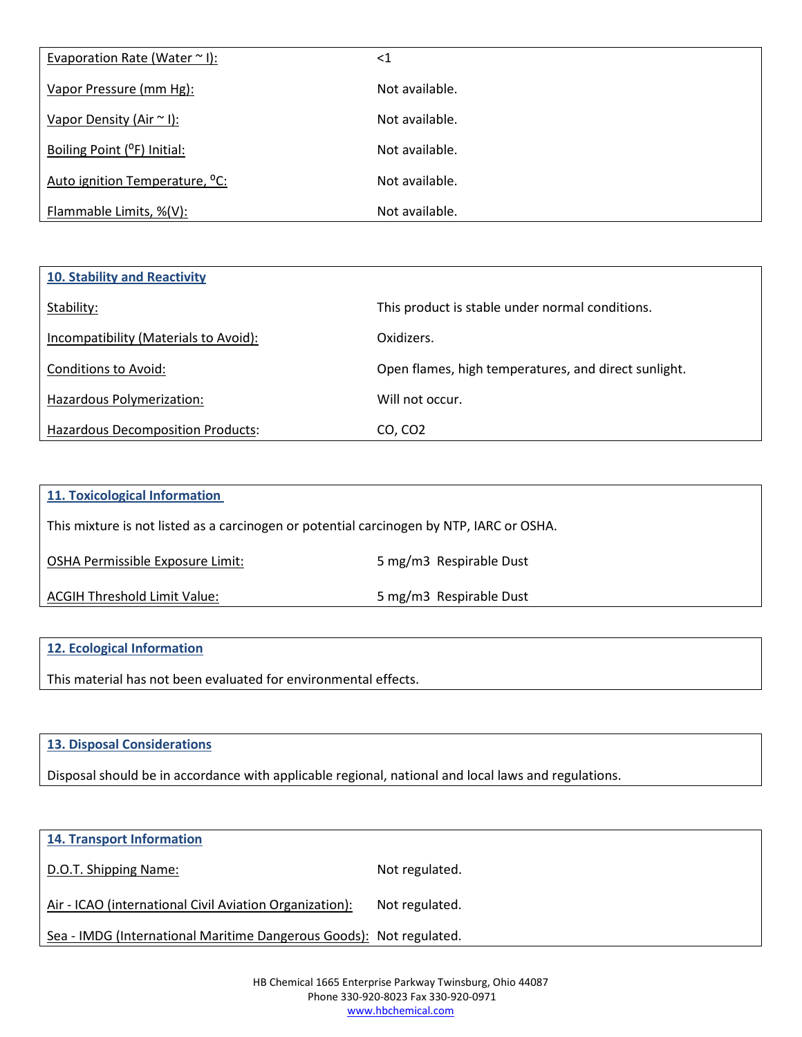| Evaporation Rate (Water $\sim$ I):         | $<$ 1          |
|--------------------------------------------|----------------|
| Vapor Pressure (mm Hg):                    | Not available. |
| Vapor Density (Air ~ I):                   | Not available. |
| Boiling Point (°F) Initial:                | Not available. |
| Auto ignition Temperature, <sup>o</sup> C: | Not available. |
| Flammable Limits, %(V):                    | Not available. |

| 10. Stability and Reactivity             |                                                      |
|------------------------------------------|------------------------------------------------------|
| Stability:                               | This product is stable under normal conditions.      |
| Incompatibility (Materials to Avoid):    | Oxidizers.                                           |
| Conditions to Avoid:                     | Open flames, high temperatures, and direct sunlight. |
| Hazardous Polymerization:                | Will not occur.                                      |
| <b>Hazardous Decomposition Products:</b> | CO, CO <sub>2</sub>                                  |

| 11. Toxicological Information                                                            |                         |
|------------------------------------------------------------------------------------------|-------------------------|
| This mixture is not listed as a carcinogen or potential carcinogen by NTP, IARC or OSHA. |                         |
| OSHA Permissible Exposure Limit:                                                         | 5 mg/m3 Respirable Dust |
| ACGIH Threshold Limit Value:                                                             | 5 mg/m3 Respirable Dust |
|                                                                                          |                         |

## **12. Ecological Information**

This material has not been evaluated for environmental effects.

## **13. Disposal Considerations**

Disposal should be in accordance with applicable regional, national and local laws and regulations.

| <b>14. Transport Information</b>                                    |                |
|---------------------------------------------------------------------|----------------|
| D.O.T. Shipping Name:                                               | Not regulated. |
| Air - ICAO (international Civil Aviation Organization):             | Not regulated. |
| Sea - IMDG (International Maritime Dangerous Goods): Not regulated. |                |